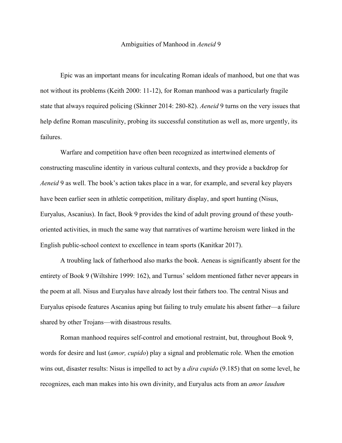## Ambiguities of Manhood in *Aeneid* 9

Epic was an important means for inculcating Roman ideals of manhood, but one that was not without its problems (Keith 2000: 11-12), for Roman manhood was a particularly fragile state that always required policing (Skinner 2014: 280-82). *Aeneid* 9 turns on the very issues that help define Roman masculinity, probing its successful constitution as well as, more urgently, its failures.

Warfare and competition have often been recognized as intertwined elements of constructing masculine identity in various cultural contexts, and they provide a backdrop for *Aeneid* 9 as well. The book's action takes place in a war, for example, and several key players have been earlier seen in athletic competition, military display, and sport hunting (Nisus, Euryalus, Ascanius). In fact, Book 9 provides the kind of adult proving ground of these youthoriented activities, in much the same way that narratives of wartime heroism were linked in the English public-school context to excellence in team sports (Kanitkar 2017).

A troubling lack of fatherhood also marks the book. Aeneas is significantly absent for the entirety of Book 9 (Wiltshire 1999: 162), and Turnus' seldom mentioned father never appears in the poem at all. Nisus and Euryalus have already lost their fathers too. The central Nisus and Euryalus episode features Ascanius aping but failing to truly emulate his absent father—a failure shared by other Trojans—with disastrous results.

Roman manhood requires self-control and emotional restraint, but, throughout Book 9, words for desire and lust (*amor, cupido*) play a signal and problematic role. When the emotion wins out, disaster results: Nisus is impelled to act by a *dira cupido* (9.185) that on some level, he recognizes, each man makes into his own divinity, and Euryalus acts from an *amor laudum*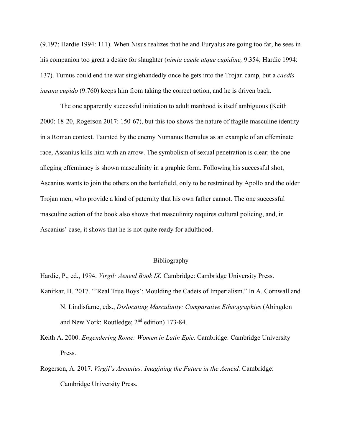(9.197; Hardie 1994: 111). When Nisus realizes that he and Euryalus are going too far, he sees in his companion too great a desire for slaughter (*nimia caede atque cupidine,* 9.354; Hardie 1994: 137). Turnus could end the war singlehandedly once he gets into the Trojan camp, but a *caedis insana cupido* (9.760) keeps him from taking the correct action, and he is driven back.

The one apparently successful initiation to adult manhood is itself ambiguous (Keith 2000: 18-20, Rogerson 2017: 150-67), but this too shows the nature of fragile masculine identity in a Roman context. Taunted by the enemy Numanus Remulus as an example of an effeminate race, Ascanius kills him with an arrow. The symbolism of sexual penetration is clear: the one alleging effeminacy is shown masculinity in a graphic form. Following his successful shot, Ascanius wants to join the others on the battlefield, only to be restrained by Apollo and the older Trojan men, who provide a kind of paternity that his own father cannot. The one successful masculine action of the book also shows that masculinity requires cultural policing, and, in Ascanius' case, it shows that he is not quite ready for adulthood.

## Bibliography

Hardie, P., ed., 1994. *Virgil: Aeneid Book IX.* Cambridge: Cambridge University Press.

- Kanitkar, H. 2017. "'Real True Boys': Moulding the Cadets of Imperialism." In A. Cornwall and N. Lindisfarne, eds., *Dislocating Masculinity: Comparative Ethnographies* (Abingdon and New York: Routledge; 2nd edition) 173-84.
- Keith A. 2000. *Engendering Rome: Women in Latin Epic.* Cambridge: Cambridge University Press.
- Rogerson, A. 2017. *Virgil's Ascanius: Imagining the Future in the Aeneid.* Cambridge: Cambridge University Press.